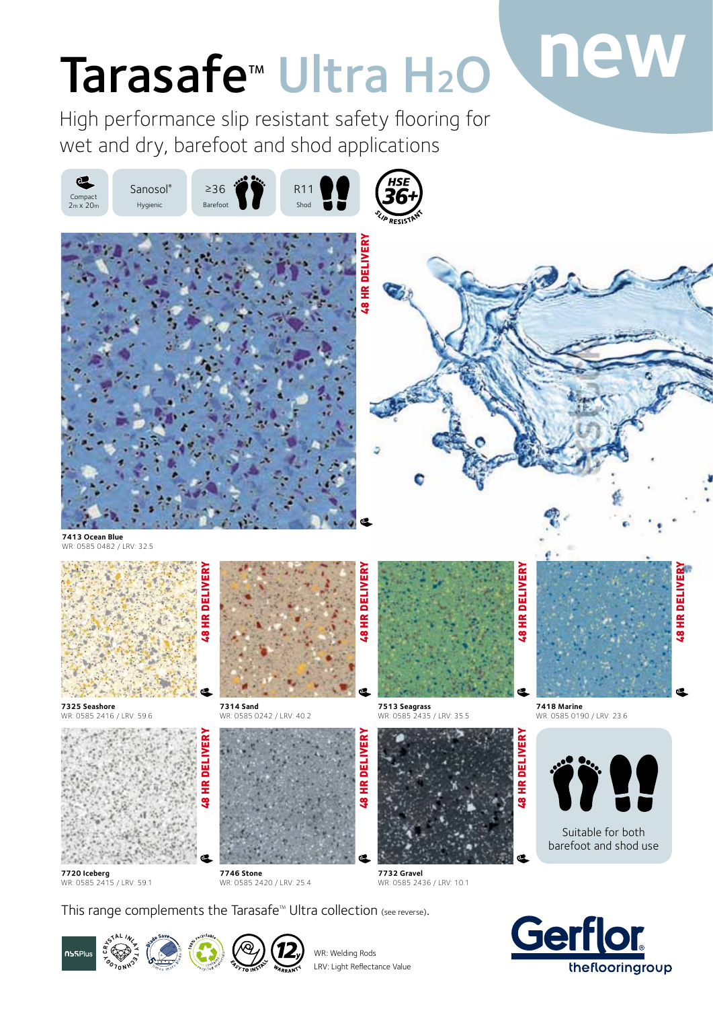# Tarasafe<sup>™</sup> Ultra H<sub>2</sub>O Inew

High performance slip resistant safety flooring for wet and dry, barefoot and shod applications



Suitable for both barefoot and shod use



**7720 Iceberg** WR: 0585 2415 / LRV: 59.1 WR: 0585 2420 / LRV: 25.4 WR: 0585 2436 / LRV: 10.1

This range complements the Tarasafe<sup>™</sup> Ultra collection (see reverse).

**7746 Stone**







WR: Welding Rods LRV: Light Reflectance Value

**7732 Gravel**